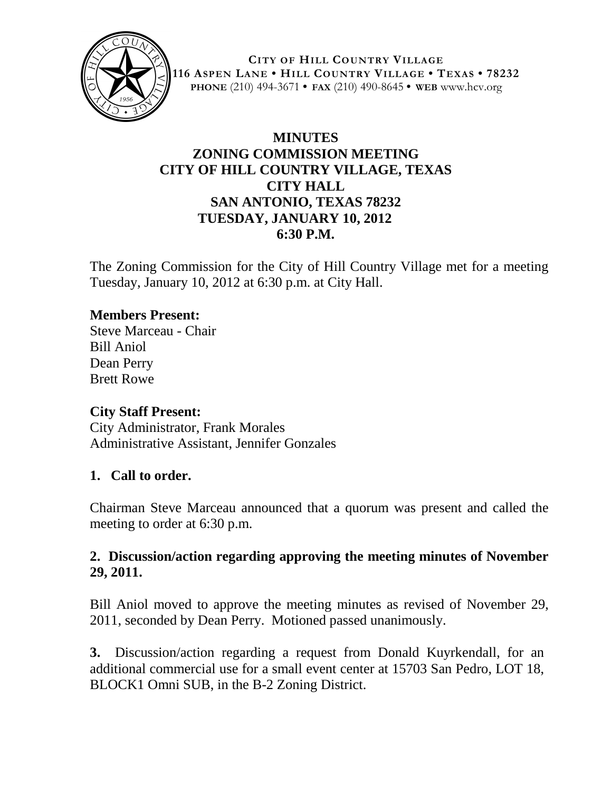

**CITY OF HILL COUNTRY VILLAGE 116 ASPEN LANE • HILL COUNTRY VILLAGE • TEXAS • 78232 PHONE** (210) 494-3671 **• FAX** (210) 490-8645 **• WEB** www.hcv.org

# **MINUTES ZONING COMMISSION MEETING CITY OF HILL COUNTRY VILLAGE, TEXAS CITY HALL SAN ANTONIO, TEXAS 78232 TUESDAY, JANUARY 10, 2012 6:30 P.M.**

The Zoning Commission for the City of Hill Country Village met for a meeting Tuesday, January 10, 2012 at 6:30 p.m. at City Hall.

## **Members Present:**

Steve Marceau - Chair Bill Aniol Dean Perry Brett Rowe

### **City Staff Present:**

City Administrator, Frank Morales Administrative Assistant, Jennifer Gonzales

### **1. Call to order.**

Chairman Steve Marceau announced that a quorum was present and called the meeting to order at 6:30 p.m.

## **2. Discussion/action regarding approving the meeting minutes of November 29, 2011.**

Bill Aniol moved to approve the meeting minutes as revised of November 29, 2011, seconded by Dean Perry. Motioned passed unanimously.

**3.** Discussion/action regarding a request from Donald Kuyrkendall, for an additional commercial use for a small event center at 15703 San Pedro, LOT 18, BLOCK1 Omni SUB, in the B-2 Zoning District.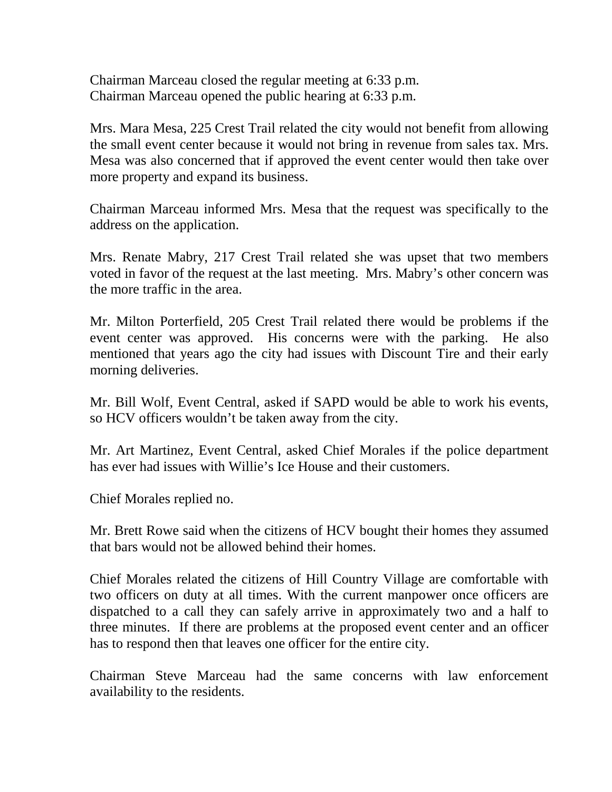Chairman Marceau closed the regular meeting at 6:33 p.m. Chairman Marceau opened the public hearing at 6:33 p.m.

Mrs. Mara Mesa, 225 Crest Trail related the city would not benefit from allowing the small event center because it would not bring in revenue from sales tax. Mrs. Mesa was also concerned that if approved the event center would then take over more property and expand its business.

Chairman Marceau informed Mrs. Mesa that the request was specifically to the address on the application.

Mrs. Renate Mabry, 217 Crest Trail related she was upset that two members voted in favor of the request at the last meeting. Mrs. Mabry's other concern was the more traffic in the area.

Mr. Milton Porterfield, 205 Crest Trail related there would be problems if the event center was approved. His concerns were with the parking. He also mentioned that years ago the city had issues with Discount Tire and their early morning deliveries.

Mr. Bill Wolf, Event Central, asked if SAPD would be able to work his events, so HCV officers wouldn't be taken away from the city.

Mr. Art Martinez, Event Central, asked Chief Morales if the police department has ever had issues with Willie's Ice House and their customers.

Chief Morales replied no.

Mr. Brett Rowe said when the citizens of HCV bought their homes they assumed that bars would not be allowed behind their homes.

Chief Morales related the citizens of Hill Country Village are comfortable with two officers on duty at all times. With the current manpower once officers are dispatched to a call they can safely arrive in approximately two and a half to three minutes. If there are problems at the proposed event center and an officer has to respond then that leaves one officer for the entire city.

Chairman Steve Marceau had the same concerns with law enforcement availability to the residents.